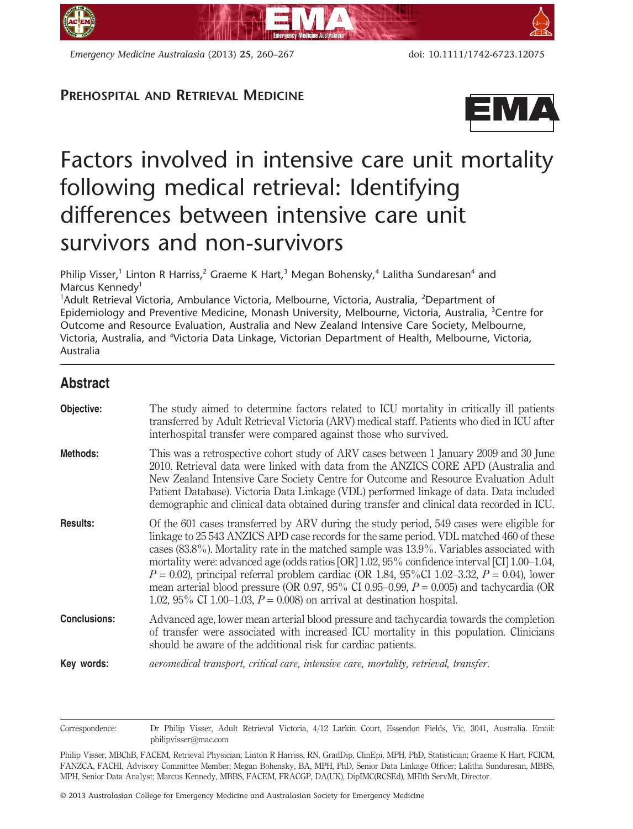

*Emergency Medicine Australasia* (2013) **25**, 260–267 doi: 10.1111/1742-6723.12075

## **PREHOSPITAL AND RETRIEVAL MEDICINE**



# Factors involved in intensive care unit mortality following medical retrieval: Identifying differences between intensive care unit survivors and non-survivors

Philip Visser,<sup>1</sup> Linton R Harriss,<sup>2</sup> Graeme K Hart,<sup>3</sup> Megan Bohensky,<sup>4</sup> Lalitha Sundaresan<sup>4</sup> and Marcus Kennedy<sup>1</sup>

<sup>1</sup>Adult Retrieval Victoria, Ambulance Victoria, Melbourne, Victoria, Australia, <sup>2</sup>Department of Epidemiology and Preventive Medicine, Monash University, Melbourne, Victoria, Australia, <sup>3</sup> Centre for Outcome and Resource Evaluation, Australia and New Zealand Intensive Care Society, Melbourne, Victoria, Australia, and <sup>4</sup>Victoria Data Linkage, Victorian Department of Health, Melbourne, Victoria, Australia

# **Abstract**

| Objective:          | The study aimed to determine factors related to ICU mortality in critically ill patients<br>transferred by Adult Retrieval Victoria (ARV) medical staff. Patients who died in ICU after<br>interhospital transfer were compared against those who survived.                                                                                                                                                                                                                                                                                                                                                                                                         |
|---------------------|---------------------------------------------------------------------------------------------------------------------------------------------------------------------------------------------------------------------------------------------------------------------------------------------------------------------------------------------------------------------------------------------------------------------------------------------------------------------------------------------------------------------------------------------------------------------------------------------------------------------------------------------------------------------|
| Methods:            | This was a retrospective cohort study of ARV cases between 1 January 2009 and 30 June<br>2010. Retrieval data were linked with data from the ANZICS CORE APD (Australia and<br>New Zealand Intensive Care Society Centre for Outcome and Resource Evaluation Adult<br>Patient Database). Victoria Data Linkage (VDL) performed linkage of data. Data included<br>demographic and clinical data obtained during transfer and clinical data recorded in ICU.                                                                                                                                                                                                          |
| <b>Results:</b>     | Of the 601 cases transferred by ARV during the study period, 549 cases were eligible for<br>linkage to 25 543 ANZICS APD case records for the same period. VDL matched 460 of these<br>cases $(83.8\%)$ . Mortality rate in the matched sample was $13.9\%$ . Variables associated with<br>mortality were: advanced age (odds ratios [OR] 1.02, 95% confidence interval [CI] 1.00–1.04,<br>$P = 0.02$ ), principal referral problem cardiac (OR 1.84, 95%CI 1.02-3.32, $P = 0.04$ ), lower<br>mean arterial blood pressure (OR 0.97, 95% CI 0.95–0.99, $P = 0.005$ ) and tachycardia (OR<br>1.02, 95% CI 1.00–1.03, $P = 0.008$ on arrival at destination hospital. |
| <b>Conclusions:</b> | Advanced age, lower mean arterial blood pressure and tachycardia towards the completion<br>of transfer were associated with increased ICU mortality in this population. Clinicians<br>should be aware of the additional risk for cardiac patients.                                                                                                                                                                                                                                                                                                                                                                                                                  |
| Key words:          | aeromedical transport, critical care, intensive care, mortality, retrieval, transfer.                                                                                                                                                                                                                                                                                                                                                                                                                                                                                                                                                                               |

Correspondence: Dr Philip Visser, Adult Retrieval Victoria, 4/12 Larkin Court, Essendon Fields, Vic. 3041, Australia. Email: philipvisser@mac.com

Philip Visser, MBChB, FACEM, Retrieval Physician; Linton R Harriss, RN, GradDip, ClinEpi, MPH, PhD, Statistician; Graeme K Hart, FCICM, FANZCA, FACHI, Advisory Committee Member; Megan Bohensky, BA, MPH, PhD, Senior Data Linkage Officer; Lalitha Sundaresan, MBBS, MPH, Senior Data Analyst; Marcus Kennedy, MBBS, FACEM, FRACGP, DA(UK), DipIMC(RCSEd), MHlth ServMt, Director.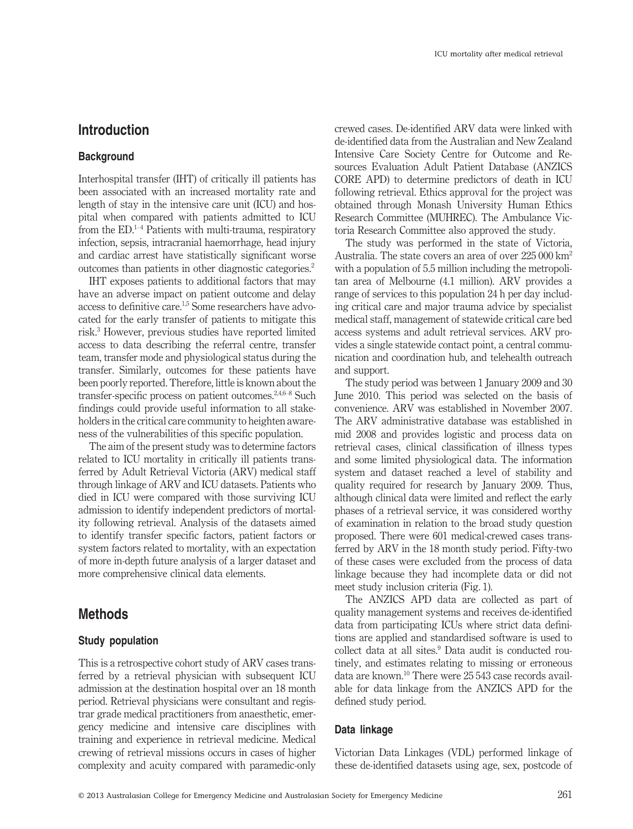## **Introduction**

#### **Background**

Interhospital transfer (IHT) of critically ill patients has been associated with an increased mortality rate and length of stay in the intensive care unit (ICU) and hospital when compared with patients admitted to ICU from the ED. $<sup>1-4</sup>$  Patients with multi-trauma, respiratory</sup> infection, sepsis, intracranial haemorrhage, head injury and cardiac arrest have statistically significant worse outcomes than patients in other diagnostic categories.2

IHT exposes patients to additional factors that may have an adverse impact on patient outcome and delay access to definitive care.<sup>1,5</sup> Some researchers have advocated for the early transfer of patients to mitigate this risk.3 However, previous studies have reported limited access to data describing the referral centre, transfer team, transfer mode and physiological status during the transfer. Similarly, outcomes for these patients have been poorly reported. Therefore, little is known about the transfer-specific process on patient outcomes.<sup>2,4,6–8</sup> Such findings could provide useful information to all stakeholders in the critical care community to heighten awareness of the vulnerabilities of this specific population.

The aim of the present study was to determine factors related to ICU mortality in critically ill patients transferred by Adult Retrieval Victoria (ARV) medical staff through linkage of ARV and ICU datasets. Patients who died in ICU were compared with those surviving ICU admission to identify independent predictors of mortality following retrieval. Analysis of the datasets aimed to identify transfer specific factors, patient factors or system factors related to mortality, with an expectation of more in-depth future analysis of a larger dataset and more comprehensive clinical data elements.

### **Methods**

#### **Study population**

This is a retrospective cohort study of ARV cases transferred by a retrieval physician with subsequent ICU admission at the destination hospital over an 18 month period. Retrieval physicians were consultant and registrar grade medical practitioners from anaesthetic, emergency medicine and intensive care disciplines with training and experience in retrieval medicine. Medical crewing of retrieval missions occurs in cases of higher complexity and acuity compared with paramedic-only crewed cases. De-identified ARV data were linked with de-identified data from the Australian and New Zealand Intensive Care Society Centre for Outcome and Resources Evaluation Adult Patient Database (ANZICS CORE APD) to determine predictors of death in ICU following retrieval. Ethics approval for the project was obtained through Monash University Human Ethics Research Committee (MUHREC). The Ambulance Victoria Research Committee also approved the study.

The study was performed in the state of Victoria, Australia. The state covers an area of over 225 000 km2 with a population of 5.5 million including the metropolitan area of Melbourne (4.1 million). ARV provides a range of services to this population 24 h per day including critical care and major trauma advice by specialist medical staff, management of statewide critical care bed access systems and adult retrieval services. ARV provides a single statewide contact point, a central communication and coordination hub, and telehealth outreach and support.

The study period was between 1 January 2009 and 30 June 2010. This period was selected on the basis of convenience. ARV was established in November 2007. The ARV administrative database was established in mid 2008 and provides logistic and process data on retrieval cases, clinical classification of illness types and some limited physiological data. The information system and dataset reached a level of stability and quality required for research by January 2009. Thus, although clinical data were limited and reflect the early phases of a retrieval service, it was considered worthy of examination in relation to the broad study question proposed. There were 601 medical-crewed cases transferred by ARV in the 18 month study period. Fifty-two of these cases were excluded from the process of data linkage because they had incomplete data or did not meet study inclusion criteria (Fig. 1).

The ANZICS APD data are collected as part of quality management systems and receives de-identified data from participating ICUs where strict data definitions are applied and standardised software is used to collect data at all sites.<sup>9</sup> Data audit is conducted routinely, and estimates relating to missing or erroneous data are known.10 There were 25 543 case records available for data linkage from the ANZICS APD for the defined study period.

#### **Data linkage**

Victorian Data Linkages (VDL) performed linkage of these de-identified datasets using age, sex, postcode of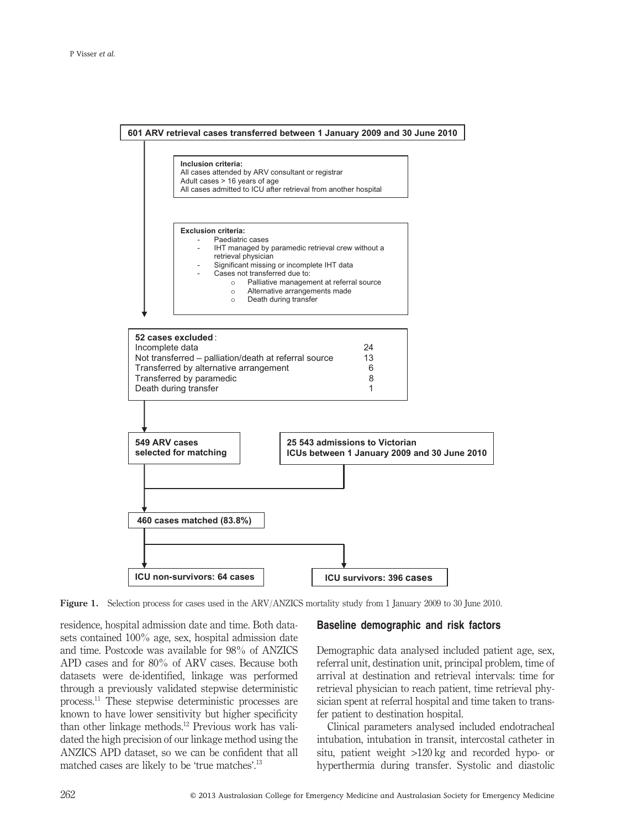

**Figure 1.** Selection process for cases used in the ARV/ANZICS mortality study from 1 January 2009 to 30 June 2010.

residence, hospital admission date and time. Both datasets contained 100% age, sex, hospital admission date and time. Postcode was available for 98% of ANZICS APD cases and for 80% of ARV cases. Because both datasets were de-identified, linkage was performed through a previously validated stepwise deterministic process.11 These stepwise deterministic processes are known to have lower sensitivity but higher specificity than other linkage methods.12 Previous work has validated the high precision of our linkage method using the ANZICS APD dataset, so we can be confident that all matched cases are likely to be 'true matches'.<sup>13</sup>

#### **Baseline demographic and risk factors**

Demographic data analysed included patient age, sex, referral unit, destination unit, principal problem, time of arrival at destination and retrieval intervals: time for retrieval physician to reach patient, time retrieval physician spent at referral hospital and time taken to transfer patient to destination hospital.

Clinical parameters analysed included endotracheal intubation, intubation in transit, intercostal catheter in situ, patient weight >120 kg and recorded hypo- or hyperthermia during transfer. Systolic and diastolic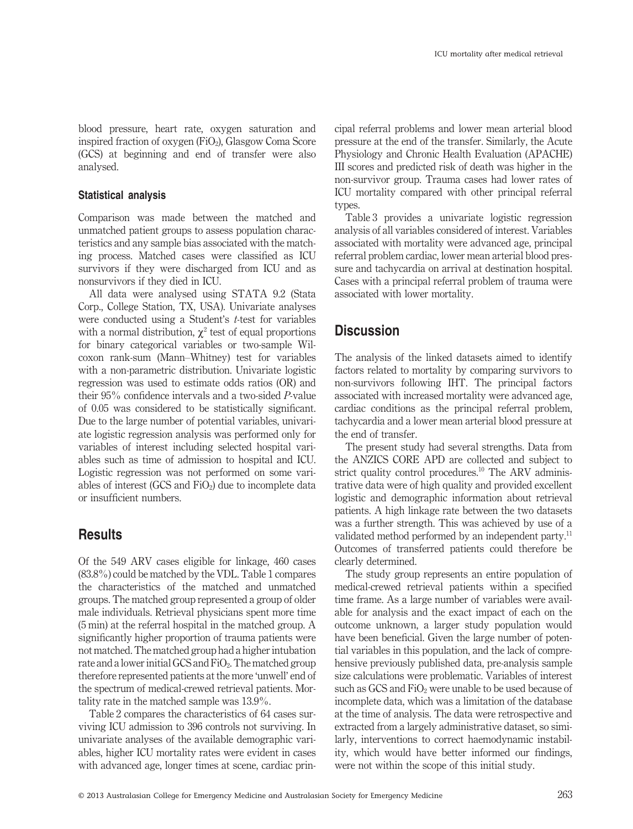blood pressure, heart rate, oxygen saturation and inspired fraction of oxygen  $(FiO_2)$ , Glasgow Coma Score (GCS) at beginning and end of transfer were also analysed.

#### **Statistical analysis**

Comparison was made between the matched and unmatched patient groups to assess population characteristics and any sample bias associated with the matching process. Matched cases were classified as ICU survivors if they were discharged from ICU and as nonsurvivors if they died in ICU.

All data were analysed using STATA 9.2 (Stata Corp., College Station, TX, USA). Univariate analyses were conducted using a Student's *t*-test for variables with a normal distribution,  $\chi^2$  test of equal proportions for binary categorical variables or two-sample Wilcoxon rank-sum (Mann–Whitney) test for variables with a non-parametric distribution. Univariate logistic regression was used to estimate odds ratios (OR) and their 95% confidence intervals and a two-sided *P*-value of 0.05 was considered to be statistically significant. Due to the large number of potential variables, univariate logistic regression analysis was performed only for variables of interest including selected hospital variables such as time of admission to hospital and ICU. Logistic regression was not performed on some variables of interest  $(GCS \text{ and } FiO<sub>2</sub>)$  due to incomplete data or insufficient numbers.

## **Results**

Of the 549 ARV cases eligible for linkage, 460 cases (83.8%) could be matched by the VDL. Table 1 compares the characteristics of the matched and unmatched groups. The matched group represented a group of older male individuals. Retrieval physicians spent more time (5 min) at the referral hospital in the matched group. A significantly higher proportion of trauma patients were not matched. The matched group had a higher intubation rate and a lower initial GCS and  $FiO<sub>2</sub>$ . The matched group therefore represented patients at the more 'unwell' end of the spectrum of medical-crewed retrieval patients. Mortality rate in the matched sample was 13.9%.

Table 2 compares the characteristics of 64 cases surviving ICU admission to 396 controls not surviving. In univariate analyses of the available demographic variables, higher ICU mortality rates were evident in cases with advanced age, longer times at scene, cardiac principal referral problems and lower mean arterial blood pressure at the end of the transfer. Similarly, the Acute Physiology and Chronic Health Evaluation (APACHE) III scores and predicted risk of death was higher in the non-survivor group. Trauma cases had lower rates of ICU mortality compared with other principal referral types.

Table 3 provides a univariate logistic regression analysis of all variables considered of interest. Variables associated with mortality were advanced age, principal referral problem cardiac, lower mean arterial blood pressure and tachycardia on arrival at destination hospital. Cases with a principal referral problem of trauma were associated with lower mortality.

# **Discussion**

The analysis of the linked datasets aimed to identify factors related to mortality by comparing survivors to non-survivors following IHT. The principal factors associated with increased mortality were advanced age, cardiac conditions as the principal referral problem, tachycardia and a lower mean arterial blood pressure at the end of transfer.

The present study had several strengths. Data from the ANZICS CORE APD are collected and subject to strict quality control procedures.<sup>10</sup> The ARV administrative data were of high quality and provided excellent logistic and demographic information about retrieval patients. A high linkage rate between the two datasets was a further strength. This was achieved by use of a validated method performed by an independent party.<sup>11</sup> Outcomes of transferred patients could therefore be clearly determined.

The study group represents an entire population of medical-crewed retrieval patients within a specified time frame. As a large number of variables were available for analysis and the exact impact of each on the outcome unknown, a larger study population would have been beneficial. Given the large number of potential variables in this population, and the lack of comprehensive previously published data, pre-analysis sample size calculations were problematic. Variables of interest such as GCS and FiO<sub>2</sub> were unable to be used because of incomplete data, which was a limitation of the database at the time of analysis. The data were retrospective and extracted from a largely administrative dataset, so similarly, interventions to correct haemodynamic instability, which would have better informed our findings, were not within the scope of this initial study.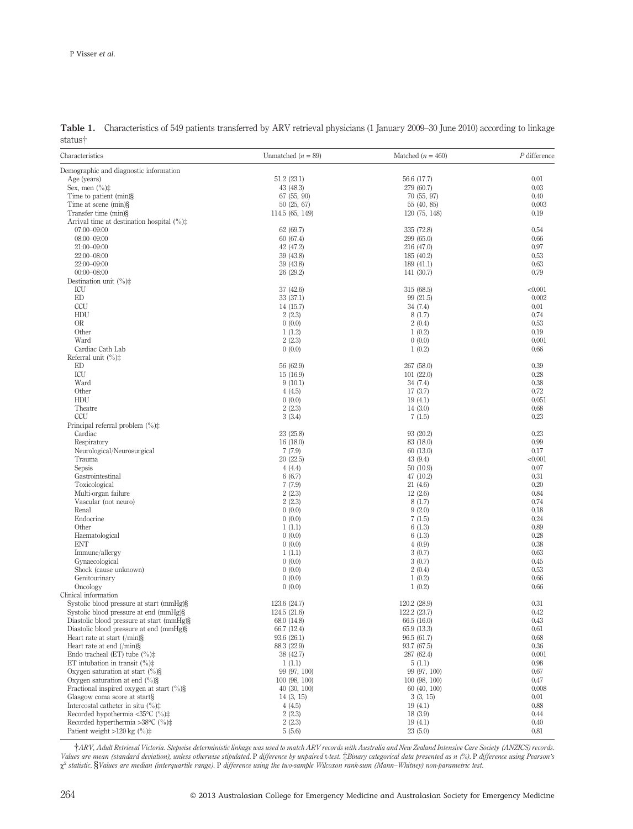| Characteristics                                                          | Unmatched $(n = 89)$          | Matched $(n = 460)$           | $P$ difference  |
|--------------------------------------------------------------------------|-------------------------------|-------------------------------|-----------------|
| Demographic and diagnostic information                                   |                               |                               |                 |
| Age (years)                                                              | 51.2(23.1)                    | 56.6 (17.7)                   | 0.01            |
| Sex, men $(\%)\ddagger$                                                  | 43 (48.3)                     | 279 (60.7)                    | 0.03            |
| Time to patient (min)§                                                   | 67 (55, 90)                   | 70(55, 97)                    | 0.40            |
| Time at scene (min)§                                                     | 50 (25, 67)                   | 55 (40, 85)                   | 0.003           |
| Transfer time (min)§                                                     | 114.5 (65, 149)               | 120 (75, 148)                 | 0.19            |
| Arrival time at destination hospital $(\%)\sharp$                        |                               |                               |                 |
| 07:00-09:00                                                              | 62 (69.7)                     | 335 (72.8)                    | 0.54            |
| $08:00 - 09:00$                                                          | 60 (67.4)                     | 299(65.0)                     | 0.66            |
| 21:00-09:00<br>22:00-08:00                                               | 42 (47.2)<br>39 (43.8)        | 216 (47.0)<br>185 (40.2)      | 0.97<br>0.53    |
| 22:00-09:00                                                              | 39 (43.8)                     | 189(41.1)                     | 0.63            |
| $00:00 - 08:00$                                                          | 26 (29.2)                     | 141 (30.7)                    | 0.79            |
| Destination unit $(\% )\ddagger$                                         |                               |                               |                 |
| ICU                                                                      | 37 (42.6)                     | 315 (68.5)                    | < 0.001         |
| ED                                                                       | 33 (37.1)                     | 99 (21.5)                     | 0.002           |
| CCU                                                                      | 14 (15.7)                     | 34(7.4)                       | 0.01            |
| HDU                                                                      | 2(2.3)                        | 8(1.7)                        | 0.74            |
| OR                                                                       | 0(0.0)                        | 2(0.4)                        | 0.53            |
| Other                                                                    | 1(1.2)                        | 1(0.2)                        | 0.19            |
| Ward                                                                     | 2(2.3)                        | 0(0.0)                        | 0.001           |
| Cardiac Cath Lab                                                         | 0(0.0)                        | 1(0.2)                        | 0.66            |
| Referral unit $(\% )\ddagger$<br>ED                                      | 56 (62.9)                     | 267 (58.0)                    | 0.39            |
| ICU                                                                      | 15 (16.9)                     | 101(22.0)                     | 0.28            |
| Ward                                                                     | 9(10.1)                       | 34(7.4)                       | 0.38            |
| Other                                                                    | 4(4.5)                        | 17(3.7)                       | 0.72            |
| HDU                                                                      | 0(0.0)                        | 19(4.1)                       | 0.051           |
| Theatre                                                                  | 2(2.3)                        | 14(3.0)                       | 0.68            |
| CCU                                                                      | 3(3.4)                        | 7(1.5)                        | 0.23            |
| Principal referral problem $(\%)\ddagger$                                |                               |                               |                 |
| Cardiac                                                                  | 23 (25.8)                     | 93 (20.2)                     | 0.23            |
| Respiratory                                                              | 16 (18.0)                     | 83 (18.0)                     | 0.99            |
| Neurological/Neurosurgical                                               | 7(7.9)                        | 60 (13.0)                     | 0.17            |
| Trauma<br>Sepsis                                                         | 20 (22.5)<br>4(4.4)           | 43 (9.4)<br>50(10.9)          | < 0.001<br>0.07 |
| Gastrointestinal                                                         | 6(6.7)                        | 47 (10.2)                     | 0.31            |
| Toxicological                                                            | 7(7.9)                        | 21(4.6)                       | 0.20            |
| Multi-organ failure                                                      | 2(2.3)                        | 12(2.6)                       | 0.84            |
| Vascular (not neuro)                                                     | 2(2.3)                        | 8(1.7)                        | 0.74            |
| Renal                                                                    | 0(0.0)                        | 9(2.0)                        | 0.18            |
| Endocrine                                                                | 0(0.0)                        | 7(1.5)                        | 0.24            |
| Other                                                                    | 1(1.1)                        | 6(1.3)                        | 0.89            |
| Haematological                                                           | 0(0.0)                        | 6(1.3)                        | 0.28            |
| <b>ENT</b>                                                               | 0(0.0)                        | 4(0.9)                        | 0.38            |
| Immune/allergy                                                           | 1(1.1)                        | 3(0.7)                        | 0.63            |
| Gynaecological<br>Shock (cause unknown)                                  | 0(0.0)<br>0(0.0)              | 3(0.7)<br>2(0.4)              | 0.45<br>0.53    |
| Genitourinary                                                            | 0(0.0)                        | 1(0.2)                        | 0.66            |
| Oncology                                                                 | 0(0.0)                        | 1(0.2)                        | 0.66            |
| Clinical information                                                     |                               |                               |                 |
| Systolic blood pressure at start (mmHg)§                                 | 123.6 (24.7)                  | 120.2 (28.9)                  | 0.31            |
| Systolic blood pressure at end (mmHg)§                                   | 124.5 (21.6)                  | 122.2 (23.7)                  | 0.42            |
| Diastolic blood pressure at start (mmHg)§                                | 68.0 (14.8)                   | 66.5 (16.0)                   | 0.43            |
| Diastolic blood pressure at end (mmHg)§                                  | 66.7 (12.4)                   | 65.9 (13.3)                   | 0.61            |
| Heart rate at start $(\text{min})\$                                      | 93.6 (26.1)                   | 96.5 (61.7)                   | 0.68            |
| Heart rate at end $(\text{min})\$                                        | 88.3 (22.9)                   | 93.7 (67.5)                   | 0.36            |
| Endo tracheal (ET) tube $(\%)\ddagger$                                   | 38 (42.7)                     | 287 (62.4)                    | 0.001           |
| ET intubation in transit $(\%)\ddagger$                                  | 1(1.1)                        | 5(1.1)                        | 0.98            |
| Oxygen saturation at start $(\% )\$<br>Oxygen saturation at end $(\% )\$ | 99 (97, 100)<br>100 (98, 100) | 99 (97, 100)<br>100 (98, 100) | 0.67<br>0.47    |
| Fractional inspired oxygen at start $(\% )\$                             | 40(30, 100)                   | 60 (40, 100)                  | 0.008           |
| Glasgow coma score at start§                                             | 14(3, 15)                     | 3(3, 15)                      | 0.01            |
| Intercostal catheter in situ $\binom{0}{0}$ .                            | 4(4.5)                        | 19(4.1)                       | 0.88            |
| Recorded hypothermia <35 $°C$ (%) $\pm$                                  | 2(2.3)                        | 18(3.9)                       | 0.44            |
| Recorded hyperthermia >38 $\degree$ C (%) $\ddagger$                     | 2(2.3)                        | 19(4.1)                       | 0.40            |
| Patient weight >120 kg $(^{\circ}\!\!/\circ)\ddagger$                    | 5(5.6)                        | 23(5.0)                       | 0.81            |

**Table 1.** Characteristics of 549 patients transferred by ARV retrieval physicians (1 January 2009–30 June 2010) according to linkage status†

†*ARV, Adult Retrieval Victoria. Stepwise deterministic linkage was used to match ARV records with Australia and New Zealand Intensive Care Society (ANZICS) records. Values are mean (standard deviation), unless otherwise stipulated.* P *difference by unpaired* t*-test.* ‡*Binary categorical data presented as n (%).* P *difference using Pearson's*  $\chi^2$  statistic. §*Values are median (interquartile range)*. P *difference using the two-sample Wilcoxon rank-sum (Mann–Whitney) non-parametric test.*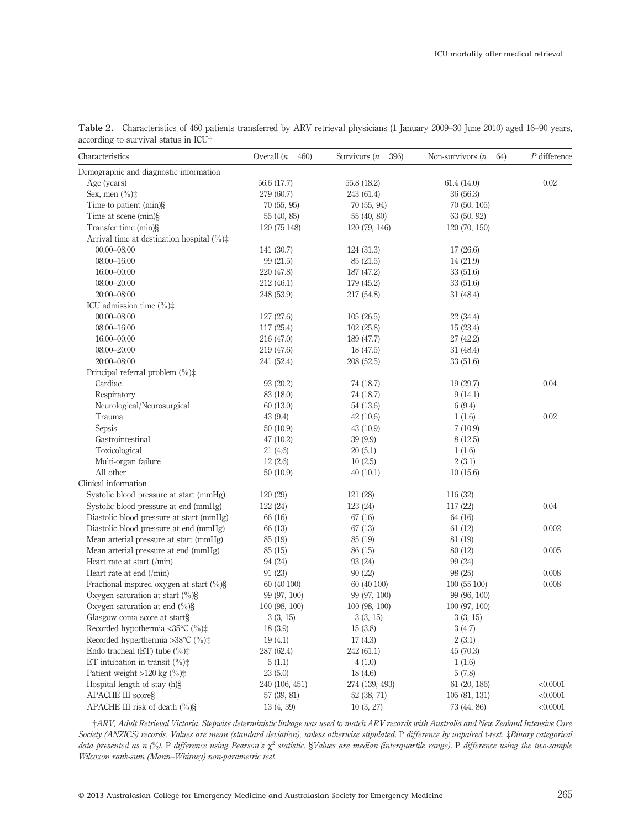| Characteristics                                      | Overall $(n = 460)$ | Survivors ( $n = 396$ ) | Non-survivors $(n = 64)$ | $P$ difference |
|------------------------------------------------------|---------------------|-------------------------|--------------------------|----------------|
| Demographic and diagnostic information               |                     |                         |                          |                |
| Age (years)                                          | 56.6 (17.7)         | 55.8 (18.2)             | 61.4(14.0)               | 0.02           |
| Sex, men $(\%)\ddagger$                              | 279 (60.7)          | 243 (61.4)              | 36(56.3)                 |                |
| Time to patient (min)§                               | 70(55, 95)          | 70 (55, 94)             | 70(50, 105)              |                |
| Time at scene (min)§                                 | 55 (40, 85)         | 55 (40, 80)             | 63 (50, 92)              |                |
| Transfer time (min)§                                 | 120 (75 148)        | 120 (79, 146)           | 120 (70, 150)            |                |
| Arrival time at destination hospital $(\%)\sharp$    |                     |                         |                          |                |
| $00:00 - 08:00$                                      | 141 (30.7)          | 124 (31.3)              | 17(26.6)                 |                |
| $08:00 - 16:00$                                      | 99 (21.5)           | 85 (21.5)               | 14(21.9)                 |                |
| $16:00 - 00:00$                                      | 220 (47.8)          | 187 (47.2)              | 33(51.6)                 |                |
| $08:00 - 20:00$                                      | 212(46.1)           | 179 (45.2)              | 33(51.6)                 |                |
| $20:00 - 08:00$                                      | 248 (53.9)          | 217 (54.8)              | 31(48.4)                 |                |
| ICU admission time $(\%)\ddagger$                    |                     |                         |                          |                |
| $00:00 - 08:00$                                      | 127 (27.6)          | 105(26.5)               | 22(34.4)                 |                |
| $08:00 - 16:00$                                      | 117 (25.4)          | 102(25.8)               | 15(23.4)                 |                |
| $16:00 - 00:00$                                      | 216 (47.0)          | 189 (47.7)              | 27 (42.2)                |                |
| $08:00 - 20:00$                                      | 219 (47.6)          | 18 (47.5)               | 31(48.4)                 |                |
| $20:00 - 08:00$                                      | 241 (52.4)          | 208 (52.5)              | 33(51.6)                 |                |
| Principal referral problem $(\%)\ddagger$            |                     |                         |                          |                |
| Cardiac                                              | 93 (20.2)           | 74 (18.7)               | 19(29.7)                 | 0.04           |
| Respiratory                                          | 83 (18.0)           | 74 (18.7)               | 9(14.1)                  |                |
| Neurological/Neurosurgical                           | 60(13.0)            | 54 (13.6)               | 6(9.4)                   |                |
| Trauma                                               | 43 (9.4)            | 42(10.6)                | 1(1.6)                   | 0.02           |
| Sepsis                                               | 50(10.9)            | 43(10.9)                | 7(10.9)                  |                |
| Gastrointestinal                                     | 47 (10.2)           | 39(9.9)                 | 8(12.5)                  |                |
| Toxicological                                        | 21(4.6)             | 20(5.1)                 | 1(1.6)                   |                |
| Multi-organ failure                                  | 12(2.6)             | 10(2.5)                 | 2(3.1)                   |                |
| All other                                            | 50(10.9)            | 40(10.1)                | 10(15.6)                 |                |
| Clinical information                                 |                     |                         |                          |                |
| Systolic blood pressure at start (mmHg)              | 120(29)             | 121 (28)                | 116 (32)                 |                |
| Systolic blood pressure at end (mmHg)                | 122 (24)            | 123 (24)                | 117 (22)                 | 0.04           |
| Diastolic blood pressure at start (mmHg)             | 66 (16)             | 67 (16)                 | 64 (16)                  |                |
| Diastolic blood pressure at end (mmHg)               | 66 (13)             | 67(13)                  | 61(12)                   | 0.002          |
| Mean arterial pressure at start (mmHg)               | 85 (19)             | 85 (19)                 | 81 (19)                  |                |
| Mean arterial pressure at end (mmHg)                 | 85 (15)             | 86 (15)                 | 80 (12)                  | 0.005          |
| Heart rate at start $(\text{min})$                   | 94 (24)             | 93 (24)                 | 99 (24)                  |                |
| Heart rate at end $(\text{min})$                     | 91(23)              | 90(22)                  | 98(25)                   | 0.008          |
| Fractional inspired oxygen at start $(\% )\$         | 60 (40 100)         | 60 (40 100)             | 100(55100)               | 0.008          |
| Oxygen saturation at start $\binom{0}{0}$ §          | 99 (97, 100)        | 99 (97, 100)            | 99 (96, 100)             |                |
| Oxygen saturation at end $\frac{6}{6}$ §             | 100 (98, 100)       | 100 (98, 100)           | 100 (97, 100)            |                |
| Glasgow coma score at start§                         | 3(3, 15)            | 3(3, 15)                | 3(3, 15)                 |                |
| Recorded hypothermia <35°C (%)‡                      | 18 (3.9)            | 15(3.8)                 | 3(4.7)                   |                |
| Recorded hyperthermia >38 $\degree$ C (%) $\ddagger$ | 19(4.1)             | 17(4.3)                 | 2(3.1)                   |                |
| Endo tracheal (ET) tube $(\%)\ddagger$               | 287 (62.4)          | 242 (61.1)              | 45(70.3)                 |                |
| ET intubation in transit $(\%)\ddagger$              | 5(1.1)              | 4(1.0)                  | 1(1.6)                   |                |
| Patient weight >120 kg $(\%)\ddagger$                | 23(5.0)             | 18(4.6)                 | 5(7.8)                   |                |
| Hospital length of stay (h)§                         | 240 (106, 451)      | 274 (139, 493)          | 61 (20, 186)             | < 0.0001       |
| <b>APACHE III scoreS</b>                             | 57 (39, 81)         | 52 (38, 71)             | 105(81, 131)             | < 0.0001       |
| APACHE III risk of death $(\% )\$                    | 13(4, 39)           | 10(3, 27)               | 73 (44, 86)              | < 0.0001       |

**Table 2.** Characteristics of 460 patients transferred by ARV retrieval physicians (1 January 2009–30 June 2010) aged 16–90 years, according to survival status in ICU†

†*ARV, Adult Retrieval Victoria. Stepwise deterministic linkage was used to match ARV records with Australia and New Zealand Intensive Care Society (ANZICS) records. Values are mean (standard deviation), unless otherwise stipulated.* P *difference by unpaired* t*-test.* ‡*Binary categorical data presented as n (%).* P *difference using Pearson's*  $\chi^2$  *statistic.* §*Values are median (interquartile range).* P *difference using the two-sample Wilcoxon rank-sum (Mann–Whitney) non-parametric test.*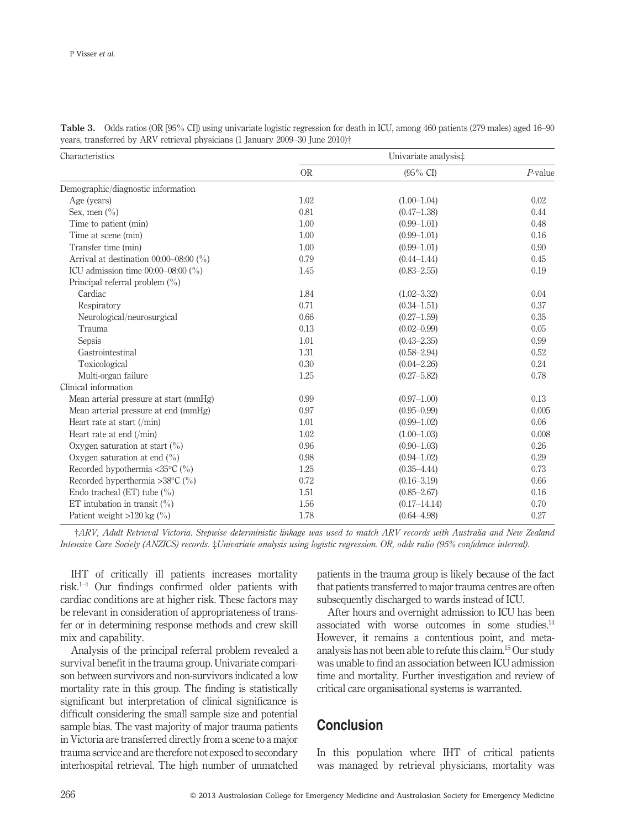| Characteristics                            |           | Univariate analysis‡ |            |
|--------------------------------------------|-----------|----------------------|------------|
|                                            | <b>OR</b> | $(95\% \text{ CI})$  | $P$ -value |
| Demographic/diagnostic information         |           |                      |            |
| Age (years)                                | 1.02      | $(1.00-1.04)$        | 0.02       |
| Sex, men $\left(\frac{0}{0}\right)$        | 0.81      | $(0.47 - 1.38)$      | 0.44       |
| Time to patient (min)                      | 1.00      | $(0.99 - 1.01)$      | 0.48       |
| Time at scene (min)                        | 1.00      | $(0.99 - 1.01)$      | 0.16       |
| Transfer time (min)                        | 1.00      | $(0.99 - 1.01)$      | 0.90       |
| Arrival at destination $00:00-08:00$ (%)   | 0.79      | $(0.44 - 1.44)$      | 0.45       |
| ICU admission time $00:00-08:00$ (%)       | 1.45      | $(0.83 - 2.55)$      | 0.19       |
| Principal referral problem $(\% )$         |           |                      |            |
| Cardiac                                    | 1.84      | $(1.02 - 3.32)$      | 0.04       |
| Respiratory                                | 0.71      | $(0.34 - 1.51)$      | 0.37       |
| Neurological/neurosurgical                 | 0.66      | $(0.27 - 1.59)$      | 0.35       |
| Trauma                                     | 0.13      | $(0.02 - 0.99)$      | 0.05       |
| Sepsis                                     | 1.01      | $(0.43 - 2.35)$      | 0.99       |
| Gastrointestinal                           | 1.31      | $(0.58 - 2.94)$      | 0.52       |
| Toxicological                              | 0.30      | $(0.04 - 2.26)$      | 0.24       |
| Multi-organ failure                        | 1.25      | $(0.27 - 5.82)$      | 0.78       |
| Clinical information                       |           |                      |            |
| Mean arterial pressure at start (mmHg)     | 0.99      | $(0.97-1.00)$        | 0.13       |
| Mean arterial pressure at end (mmHg)       | 0.97      | $(0.95 - 0.99)$      | 0.005      |
| Heart rate at start $(\text{min})$         | 1.01      | $(0.99 - 1.02)$      | 0.06       |
| Heart rate at end $(\text{min})$           | 1.02      | $(1.00-1.03)$        | 0.008      |
| Oxygen saturation at start $(\%)$          | 0.96      | $(0.90 - 1.03)$      | 0.26       |
| Oxygen saturation at end $\binom{0}{0}$    | 0.98      | $(0.94 - 1.02)$      | 0.29       |
| Recorded hypothermia <35 $\degree$ C (%)   | 1.25      | $(0.35 - 4.44)$      | 0.73       |
| Recorded hyperthermia > 38 $\degree$ C (%) | 0.72      | $(0.16 - 3.19)$      | 0.66       |
| Endo tracheal (ET) tube $(\% )$            | 1.51      | $(0.85 - 2.67)$      | 0.16       |
| ET intubation in transit $(\% )$           | 1.56      | $(0.17 - 14.14)$     | 0.70       |
| Patient weight $>120$ kg (%)               | 1.78      | $(0.64 - 4.98)$      | 0.27       |

**Table 3.** Odds ratios (OR [95% CI]) using univariate logistic regression for death in ICU, among 460 patients (279 males) aged 16–90 years, transferred by ARV retrieval physicians (1 January 2009–30 June 2010)†

†*ARV, Adult Retrieval Victoria. Stepwise deterministic linkage was used to match ARV records with Australia and New Zealand Intensive Care Society (ANZICS) records.* ‡*Univariate analysis using logistic regression. OR, odds ratio (95% confidence interval).*

IHT of critically ill patients increases mortality risk. $1-4$  Our findings confirmed older patients with cardiac conditions are at higher risk. These factors may be relevant in consideration of appropriateness of transfer or in determining response methods and crew skill mix and capability.

Analysis of the principal referral problem revealed a survival benefit in the trauma group. Univariate comparison between survivors and non-survivors indicated a low mortality rate in this group. The finding is statistically significant but interpretation of clinical significance is difficult considering the small sample size and potential sample bias. The vast majority of major trauma patients in Victoria are transferred directly from a scene to a major trauma service and are therefore not exposed to secondary interhospital retrieval. The high number of unmatched

patients in the trauma group is likely because of the fact that patients transferred to major trauma centres are often subsequently discharged to wards instead of ICU.

After hours and overnight admission to ICU has been associated with worse outcomes in some studies.<sup>14</sup> However, it remains a contentious point, and metaanalysis has not been able to refute this claim.15 Our study was unable to find an association between ICU admission time and mortality. Further investigation and review of critical care organisational systems is warranted.

# **Conclusion**

In this population where IHT of critical patients was managed by retrieval physicians, mortality was